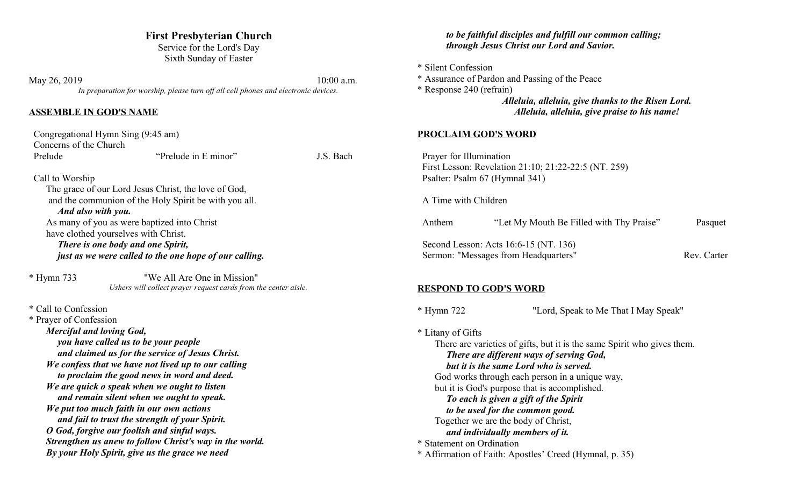# **First Presbyterian Church**

Service for the Lord's Day Sixth Sunday of Easter

May 26, 2019 10:00 a.m. *In preparation for worship, please turn off all cell phones and electronic devices.*

#### **ASSEMBLE IN GOD'S NAME**

| Congregational Hymn Sing (9:45 am) |                                                       |           |
|------------------------------------|-------------------------------------------------------|-----------|
| Concerns of the Church             |                                                       |           |
| Prelude                            | "Prelude in E minor"                                  | J.S. Bach |
|                                    |                                                       |           |
| Call to Worship                    |                                                       |           |
|                                    | The grace of our Lord Jesus Christ, the love of God,  |           |
|                                    | and the communion of the Holy Spirit be with you all. |           |

#### *And also with you.*

As many of you as were baptized into Christ have clothed yourselves with Christ.

*There is one body and one Spirit, just as we were called to the one hope of our calling.*

\* Hymn 733 "We All Are One in Mission" *Ushers will collect prayer request cards from the center aisle.*

\* Call to Confession

\* Prayer of Confession *Merciful and loving God, you have called us to be your people and claimed us for the service of Jesus Christ. We confess that we have not lived up to our calling to proclaim the good news in word and deed. We are quick o speak when we ought to listen and remain silent when we ought to speak. We put too much faith in our own actions and fail to trust the strength of your Spirit. O God, forgive our foolish and sinful ways. Strengthen us anew to follow Christ's way in the world. By your Holy Spirit, give us the grace we need*

### *to be faithful disciples and fulfill our common calling; through Jesus Christ our Lord and Savior.*

\* Silent Confession

\* Assurance of Pardon and Passing of the Peace

\* Response 240 (refrain)

*Alleluia, alleluia, give thanks to the Risen Lord. Alleluia, alleluia, give praise to his name!*

### **PROCLAIM GOD'S WORD**

 Prayer for Illumination First Lesson: Revelation 21:10; 21:22-22:5 (NT. 259) Psalter: Psalm 67 (Hymnal 341)

A Time with Children

| Anthem                               | "Let My Mouth Be Filled with Thy Praise" | Pasquet     |
|--------------------------------------|------------------------------------------|-------------|
|                                      | Second Lesson: Acts 16:6-15 (NT. 136)    |             |
| Sermon: "Messages from Headquarters" |                                          | Rev. Carter |

## **RESPOND TO GOD'S WORD**

\* Hymn 722 "Lord, Speak to Me That I May Speak"

\* Litany of Gifts There are varieties of gifts, but it is the same Spirit who gives them. *There are different ways of serving God, but it is the same Lord who is served.* God works through each person in a unique way, but it is God's purpose that is accomplished. *To each is given a gift of the Spirit to be used for the common good.* Together we are the body of Christ, *and individually members of it.* \* Statement on Ordination \* Affirmation of Faith: Apostles' Creed (Hymnal, p. 35)